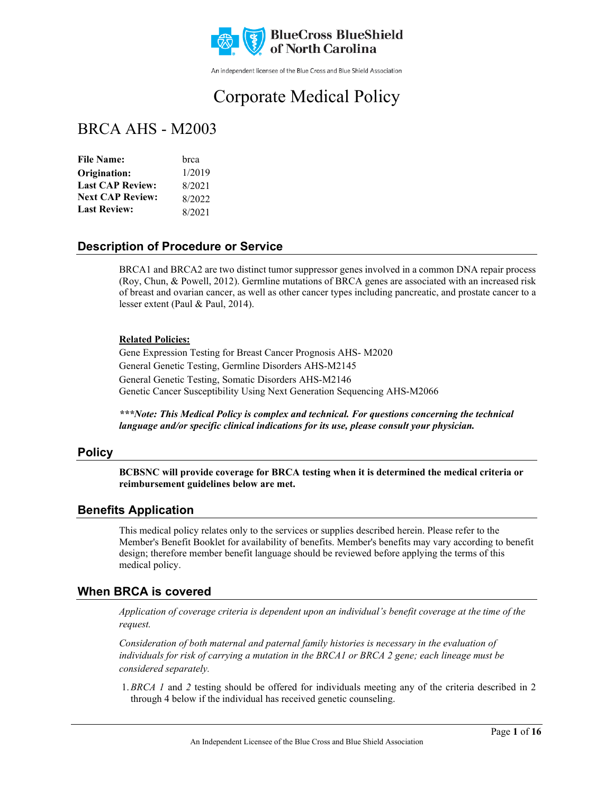

An independent licensee of the Blue Cross and Blue Shield Association

# Corporate Medical Policy

## BRCA AHS - M2003

| brca   |
|--------|
| 1/2019 |
| 8/2021 |
| 8/2022 |
| 8/2021 |
|        |

### **Description of Procedure or Service**

BRCA1 and BRCA2 are two distinct tumor suppressor genes involved in a common DNA repair process (Roy, Chun, & Powell, 2012). Germline mutations of BRCA genes are associated with an increased risk of breast and ovarian cancer, as well as other cancer types including pancreatic, and prostate cancer to a lesser extent (Paul & Paul, 2014).

#### **Related Policies:**

Gene Expression Testing for Breast Cancer Prognosis AHS- M2020 General Genetic Testing, Germline Disorders AHS-M2145 General Genetic Testing, Somatic Disorders AHS-M2146 Genetic Cancer Susceptibility Using Next Generation Sequencing AHS-M2066

*\*\*\*Note: This Medical Policy is complex and technical. For questions concerning the technical language and/or specific clinical indications for its use, please consult your physician.*

#### **Policy**

**BCBSNC will provide coverage for BRCA testing when it is determined the medical criteria or reimbursement guidelines below are met.**

#### **Benefits Application**

This medical policy relates only to the services or supplies described herein. Please refer to the Member's Benefit Booklet for availability of benefits. Member's benefits may vary according to benefit design; therefore member benefit language should be reviewed before applying the terms of this medical policy.

### **When BRCA is covered**

*Application of coverage criteria is dependent upon an individual's benefit coverage at the time of the request.*

*Consideration of both maternal and paternal family histories is necessary in the evaluation of individuals for risk of carrying a mutation in the BRCA1 or BRCA 2 gene; each lineage must be considered separately.* 

1.*BRCA 1* and *2* testing should be offered for individuals meeting any of the criteria described in 2 through 4 below if the individual has received genetic counseling.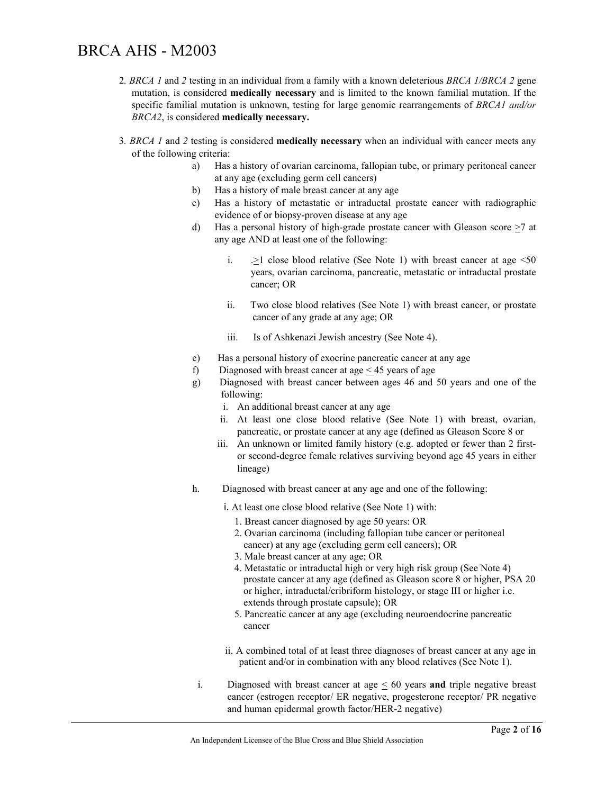- 2*. BRCA 1* and *2* testing in an individual from a family with a known deleterious *BRCA 1/BRCA 2* gene mutation, is considered **medically necessary** and is limited to the known familial mutation. If the specific familial mutation is unknown, testing for large genomic rearrangements of *BRCA1 and/or BRCA2*, is considered **medically necessary.**
- 3*. BRCA 1* and *2* testing is considered **medically necessary** when an individual with cancer meets any of the following criteria:
	- a) Has a history of ovarian carcinoma, fallopian tube, or primary peritoneal cancer at any age (excluding germ cell cancers)
	- b) Has a history of male breast cancer at any age
	- c) Has a history of metastatic or intraductal prostate cancer with radiographic evidence of or biopsy-proven disease at any age
	- d) Has a personal history of high-grade prostate cancer with Gleason score >7 at any age AND at least one of the following:
		- i.  $\geq$  close blood relative (See Note 1) with breast cancer at age <50 years, ovarian carcinoma, pancreatic, metastatic or intraductal prostate cancer; OR
		- ii. Two close blood relatives (See Note 1) with breast cancer, or prostate cancer of any grade at any age; OR
		- iii. Is of Ashkenazi Jewish ancestry (See Note 4).
	- e) Has a personal history of exocrine pancreatic cancer at any age
	- f) Diagnosed with breast cancer at age  $\leq$  45 years of age
	- g) Diagnosed with breast cancer between ages 46 and 50 years and one of the following:
		- i. An additional breast cancer at any age
		- ii. At least one close blood relative (See Note 1) with breast, ovarian, pancreatic, or prostate cancer at any age (defined as Gleason Score 8 or
		- iii. An unknown or limited family history (e.g. adopted or fewer than 2 firstor second-degree female relatives surviving beyond age 45 years in either lineage)
	- h. Diagnosed with breast cancer at any age and one of the following:
		- i. At least one close blood relative (See Note 1) with:
			- 1. Breast cancer diagnosed by age 50 years: OR
			- 2. Ovarian carcinoma (including fallopian tube cancer or peritoneal cancer) at any age (excluding germ cell cancers); OR
			- 3. Male breast cancer at any age; OR
			- 4. Metastatic or intraductal high or very high risk group (See Note 4) prostate cancer at any age (defined as Gleason score 8 or higher, PSA 20 or higher, intraductal/cribriform histology, or stage III or higher i.e. extends through prostate capsule); OR
			- 5. Pancreatic cancer at any age (excluding neuroendocrine pancreatic cancer
		- ii. A combined total of at least three diagnoses of breast cancer at any age in patient and/or in combination with any blood relatives (See Note 1).
	- i. Diagnosed with breast cancer at age < 60 years **and** triple negative breast cancer (estrogen receptor/ ER negative, progesterone receptor/ PR negative and human epidermal growth factor/HER-2 negative)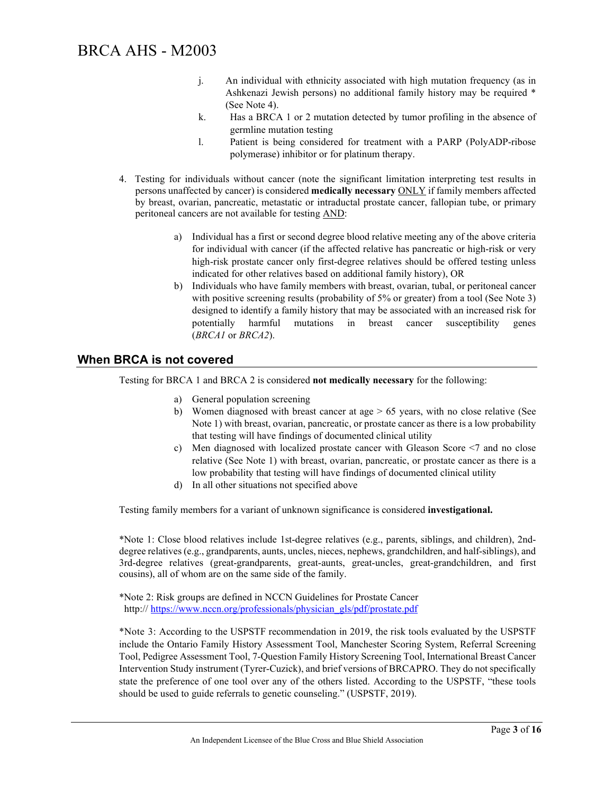- j. An individual with ethnicity associated with high mutation frequency (as in Ashkenazi Jewish persons) no additional family history may be required \* (See Note 4).
- k. Has a BRCA 1 or 2 mutation detected by tumor profiling in the absence of germline mutation testing
- l. Patient is being considered for treatment with a PARP (PolyADP-ribose polymerase) inhibitor or for platinum therapy.
- 4. Testing for individuals without cancer (note the significant limitation interpreting test results in persons unaffected by cancer) is considered **medically necessary** ONLY if family members affected by breast, ovarian, pancreatic, metastatic or intraductal prostate cancer, fallopian tube, or primary peritoneal cancers are not available for testing AND:
	- a) Individual has a first or second degree blood relative meeting any of the above criteria for individual with cancer (if the affected relative has pancreatic or high-risk or very high-risk prostate cancer only first-degree relatives should be offered testing unless indicated for other relatives based on additional family history), OR
	- b) Individuals who have family members with breast, ovarian, tubal, or peritoneal cancer with positive screening results (probability of 5% or greater) from a tool (See Note 3) designed to identify a family history that may be associated with an increased risk for potentially harmful mutations in breast cancer susceptibility genes (*BRCA1* or *BRCA2*).

### **When BRCA is not covered**

Testing for BRCA 1 and BRCA 2 is considered **not medically necessary** for the following:

- a) General population screening
- b) Women diagnosed with breast cancer at age  $> 65$  years, with no close relative (See Note 1) with breast, ovarian, pancreatic, or prostate cancer as there is a low probability that testing will have findings of documented clinical utility
- c) Men diagnosed with localized prostate cancer with Gleason Score <7 and no close relative (See Note 1) with breast, ovarian, pancreatic, or prostate cancer as there is a low probability that testing will have findings of documented clinical utility
- d) In all other situations not specified above

Testing family members for a variant of unknown significance is considered **investigational.**

\*Note 1: Close blood relatives include 1st-degree relatives (e.g., parents, siblings, and children), 2nddegree relatives (e.g., grandparents, aunts, uncles, nieces, nephews, grandchildren, and half-siblings), and 3rd-degree relatives (great-grandparents, great-aunts, great-uncles, great-grandchildren, and first cousins), all of whom are on the same side of the family.

\*Note 2: Risk groups are defined in NCCN Guidelines for Prostate Cancer http:// [https://www.nccn.org/professionals/physician\\_gls/pdf/prostate.pdf](https://www.nccn.org/professionals/physician_gls/pdf/prostate.pdf)

\*Note 3: According to the USPSTF recommendation in 2019, the risk tools evaluated by the USPSTF include the Ontario Family History Assessment Tool, Manchester Scoring System, Referral Screening Tool, Pedigree Assessment Tool, 7-Question Family History Screening Tool, International Breast Cancer Intervention Study instrument (Tyrer-Cuzick), and brief versions of BRCAPRO. They do not specifically state the preference of one tool over any of the others listed. According to the USPSTF, "these tools should be used to guide referrals to genetic counseling." (USPSTF, 2019).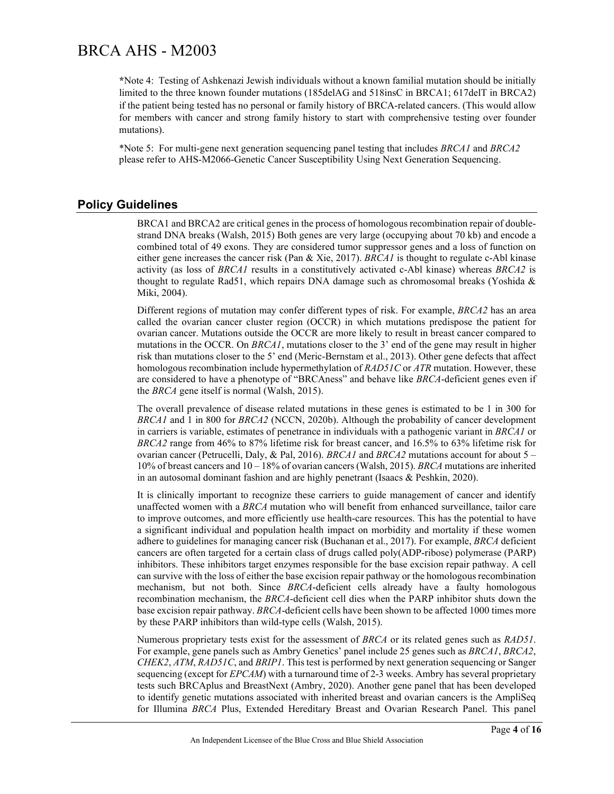**\***Note 4: Testing of Ashkenazi Jewish individuals without a known familial mutation should be initially limited to the three known founder mutations (185delAG and 518insC in BRCA1; 617delT in BRCA2) if the patient being tested has no personal or family history of BRCA-related cancers. (This would allow for members with cancer and strong family history to start with comprehensive testing over founder mutations).

\*Note 5: For multi-gene next generation sequencing panel testing that includes *BRCA1* and *BRCA2* please refer to AHS-M2066-Genetic Cancer Susceptibility Using Next Generation Sequencing.

### **Policy Guidelines**

BRCA1 and BRCA2 are critical genes in the process of homologous recombination repair of doublestrand DNA breaks (Walsh, 2015) Both genes are very large (occupying about 70 kb) and encode a combined total of 49 exons. They are considered tumor suppressor genes and a loss of function on either gene increases the cancer risk (Pan & Xie, 2017). *BRCA1* is thought to regulate c-Abl kinase activity (as loss of *BRCA1* results in a constitutively activated c-Abl kinase) whereas *BRCA2* is thought to regulate Rad51, which repairs DNA damage such as chromosomal breaks (Yoshida & Miki, 2004).

Different regions of mutation may confer different types of risk. For example, *BRCA2* has an area called the ovarian cancer cluster region (OCCR) in which mutations predispose the patient for ovarian cancer. Mutations outside the OCCR are more likely to result in breast cancer compared to mutations in the OCCR. On *BRCA1*, mutations closer to the 3' end of the gene may result in higher risk than mutations closer to the 5' end (Meric-Bernstam et al., 2013). Other gene defects that affect homologous recombination include hypermethylation of *RAD51C* or *ATR* mutation. However, these are considered to have a phenotype of "BRCAness" and behave like *BRCA*-deficient genes even if the *BRCA* gene itself is normal (Walsh, 2015).

The overall prevalence of disease related mutations in these genes is estimated to be 1 in 300 for *BRCA1* and 1 in 800 for *BRCA2* (NCCN, 2020b). Although the probability of cancer development in carriers is variable, estimates of penetrance in individuals with a pathogenic variant in *BRCA1* or *BRCA2* range from 46% to 87% lifetime risk for breast cancer, and 16.5% to 63% lifetime risk for ovarian cancer (Petrucelli, Daly, & Pal, 2016). *BRCA1* and *BRCA2* mutations account for about 5 – 10% of breast cancers and 10 – 18% of ovarian cancers (Walsh, 2015). *BRCA* mutations are inherited in an autosomal dominant fashion and are highly penetrant (Isaacs & Peshkin, 2020).

It is clinically important to recognize these carriers to guide management of cancer and identify unaffected women with a *BRCA* mutation who will benefit from enhanced surveillance, tailor care to improve outcomes, and more efficiently use health-care resources. This has the potential to have a significant individual and population health impact on morbidity and mortality if these women adhere to guidelines for managing cancer risk (Buchanan et al., 2017). For example, *BRCA* deficient cancers are often targeted for a certain class of drugs called poly(ADP-ribose) polymerase (PARP) inhibitors. These inhibitors target enzymes responsible for the base excision repair pathway. A cell can survive with the loss of either the base excision repair pathway or the homologous recombination mechanism, but not both. Since *BRCA*-deficient cells already have a faulty homologous recombination mechanism, the *BRCA*-deficient cell dies when the PARP inhibitor shuts down the base excision repair pathway. *BRCA*-deficient cells have been shown to be affected 1000 times more by these PARP inhibitors than wild-type cells (Walsh, 2015).

Numerous proprietary tests exist for the assessment of *BRCA* or its related genes such as *RAD51*. For example, gene panels such as Ambry Genetics' panel include 25 genes such as *BRCA1*, *BRCA2*, *CHEK2*, *ATM*, *RAD51C*, and *BRIP1*. This test is performed by next generation sequencing or Sanger sequencing (except for *EPCAM*) with a turnaround time of 2-3 weeks. Ambry has several proprietary tests such BRCAplus and BreastNext (Ambry, 2020). Another gene panel that has been developed to identify genetic mutations associated with inherited breast and ovarian cancers is the AmpliSeq for Illumina *BRCA* Plus, Extended Hereditary Breast and Ovarian Research Panel. This panel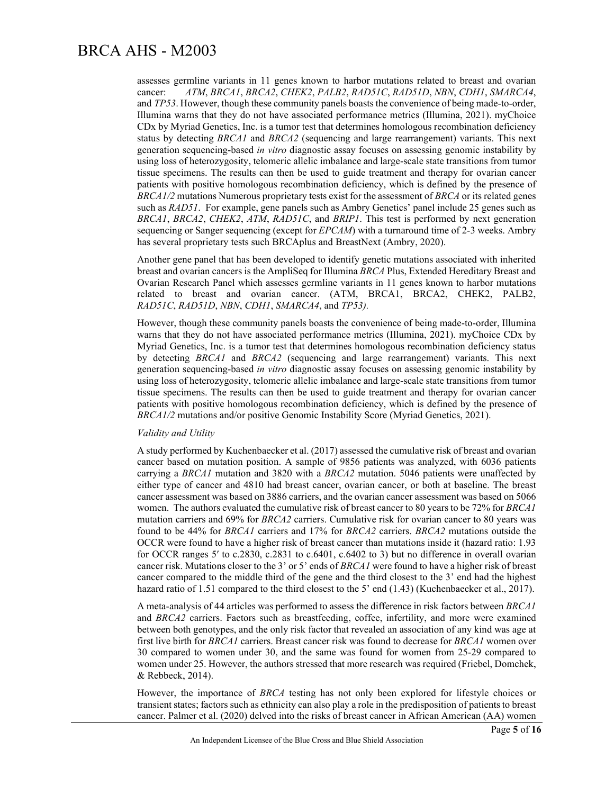assesses germline variants in 11 genes known to harbor mutations related to breast and ovarian cancer: *ATM*, *BRCA1*, *BRCA2*, *CHEK2*, *PALB2*, *RAD51C*, *RAD51D*, *NBN*, *CDH1*, *SMARCA4*, and *TP53*. However, though these community panels boasts the convenience of being made-to-order, Illumina warns that they do not have associated performance metrics (Illumina, 2021). myChoice CDx by Myriad Genetics, Inc. is a tumor test that determines homologous recombination deficiency status by detecting *BRCA1* and *BRCA2* (sequencing and large rearrangement) variants. This next generation sequencing-based *in vitro* diagnostic assay focuses on assessing genomic instability by using loss of heterozygosity, telomeric allelic imbalance and large-scale state transitions from tumor tissue specimens. The results can then be used to guide treatment and therapy for ovarian cancer patients with positive homologous recombination deficiency, which is defined by the presence of *BRCA1/2* mutations Numerous proprietary tests exist for the assessment of *BRCA* or its related genes such as *RAD51*. For example, gene panels such as Ambry Genetics' panel include 25 genes such as *BRCA1*, *BRCA2*, *CHEK2*, *ATM*, *RAD51C*, and *BRIP1*. This test is performed by next generation sequencing or Sanger sequencing (except for *EPCAM*) with a turnaround time of 2-3 weeks. Ambry has several proprietary tests such BRCAplus and BreastNext (Ambry, 2020).

Another gene panel that has been developed to identify genetic mutations associated with inherited breast and ovarian cancers is the AmpliSeq for Illumina *BRCA* Plus, Extended Hereditary Breast and Ovarian Research Panel which assesses germline variants in 11 genes known to harbor mutations related to breast and ovarian cancer. (ATM, BRCA1, BRCA2, CHEK2, PALB2, *RAD51C*, *RAD51D*, *NBN*, *CDH1*, *SMARCA4*, and *TP53).*

However, though these community panels boasts the convenience of being made-to-order, Illumina warns that they do not have associated performance metrics (Illumina, 2021). myChoice CDx by Myriad Genetics, Inc. is a tumor test that determines homologous recombination deficiency status by detecting *BRCA1* and *BRCA2* (sequencing and large rearrangement) variants. This next generation sequencing-based *in vitro* diagnostic assay focuses on assessing genomic instability by using loss of heterozygosity, telomeric allelic imbalance and large-scale state transitions from tumor tissue specimens. The results can then be used to guide treatment and therapy for ovarian cancer patients with positive homologous recombination deficiency, which is defined by the presence of *BRCA1/2* mutations and/or positive Genomic Instability Score (Myriad Genetics, 2021).

#### *Validity and Utility*

A study performed by Kuchenbaecker et al. (2017) assessed the cumulative risk of breast and ovarian cancer based on mutation position. A sample of 9856 patients was analyzed, with 6036 patients carrying a *BRCA1* mutation and 3820 with a *BRCA2* mutation. 5046 patients were unaffected by either type of cancer and 4810 had breast cancer, ovarian cancer, or both at baseline. The breast cancer assessment was based on 3886 carriers, and the ovarian cancer assessment was based on 5066 women. The authors evaluated the cumulative risk of breast cancer to 80 years to be 72% for *BRCA1* mutation carriers and 69% for *BRCA2* carriers. Cumulative risk for ovarian cancer to 80 years was found to be 44% for *BRCA1* carriers and 17% for *BRCA2* carriers. *BRCA2* mutations outside the OCCR were found to have a higher risk of breast cancer than mutations inside it (hazard ratio: 1.93 for OCCR ranges 5′ to c.2830, c.2831 to c.6401, c.6402 to 3) but no difference in overall ovarian cancer risk. Mutations closer to the 3' or 5' ends of *BRCA1* were found to have a higher risk of breast cancer compared to the middle third of the gene and the third closest to the 3' end had the highest hazard ratio of 1.51 compared to the third closest to the 5' end (1.43) (Kuchenbaecker et al., 2017).

A meta-analysis of 44 articles was performed to assess the difference in risk factors between *BRCA1* and *BRCA2* carriers. Factors such as breastfeeding, coffee, infertility, and more were examined between both genotypes, and the only risk factor that revealed an association of any kind was age at first live birth for *BRCA1* carriers. Breast cancer risk was found to decrease for *BRCA1* women over 30 compared to women under 30, and the same was found for women from 25-29 compared to women under 25. However, the authors stressed that more research was required (Friebel, Domchek, & Rebbeck, 2014).

However, the importance of *BRCA* testing has not only been explored for lifestyle choices or transient states; factors such as ethnicity can also play a role in the predisposition of patients to breast cancer. Palmer et al. (2020) delved into the risks of breast cancer in African American (AA) women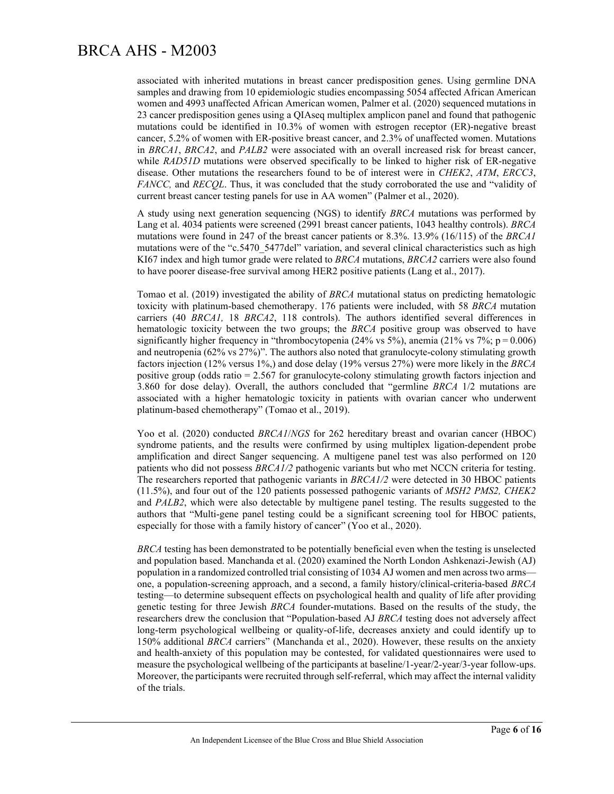associated with inherited mutations in breast cancer predisposition genes. Using germline DNA samples and drawing from 10 epidemiologic studies encompassing 5054 affected African American women and 4993 unaffected African American women, Palmer et al. (2020) sequenced mutations in 23 cancer predisposition genes using a QIAseq multiplex amplicon panel and found that pathogenic mutations could be identified in 10.3% of women with estrogen receptor (ER)-negative breast cancer, 5.2% of women with ER-positive breast cancer, and 2.3% of unaffected women. Mutations in *BRCA1*, *BRCA2*, and *PALB2* were associated with an overall increased risk for breast cancer, while *RAD51D* mutations were observed specifically to be linked to higher risk of ER-negative disease. Other mutations the researchers found to be of interest were in *CHEK2*, *ATM*, *ERCC3*, *FANCC,* and *RECQL*. Thus, it was concluded that the study corroborated the use and "validity of current breast cancer testing panels for use in AA women" (Palmer et al., 2020).

A study using next generation sequencing (NGS) to identify *BRCA* mutations was performed by Lang et al. 4034 patients were screened (2991 breast cancer patients, 1043 healthy controls). *BRCA* mutations were found in 247 of the breast cancer patients or 8.3%. 13.9% (16/115) of the *BRCA1* mutations were of the "c.5470\_5477del" variation, and several clinical characteristics such as high KI67 index and high tumor grade were related to *BRCA* mutations, *BRCA2* carriers were also found to have poorer disease-free survival among HER2 positive patients (Lang et al., 2017).

Tomao et al. (2019) investigated the ability of *BRCA* mutational status on predicting hematologic toxicity with platinum-based chemotherapy. 176 patients were included, with 58 *BRCA* mutation carriers (40 *BRCA1,* 18 *BRCA2*, 118 controls). The authors identified several differences in hematologic toxicity between the two groups; the *BRCA* positive group was observed to have significantly higher frequency in "thrombocytopenia (24% vs 5%), anemia (21% vs 7%;  $p = 0.006$ ) and neutropenia (62% vs 27%)". The authors also noted that granulocyte-colony stimulating growth factors injection (12% versus 1%,) and dose delay (19% versus 27%) were more likely in the *BRCA*  positive group (odds ratio = 2.567 for granulocyte-colony stimulating growth factors injection and 3.860 for dose delay). Overall, the authors concluded that "germline *BRCA* 1/2 mutations are associated with a higher hematologic toxicity in patients with ovarian cancer who underwent platinum-based chemotherapy" (Tomao et al., 2019).

Yoo et al. (2020) conducted *BRCA1*/*NGS* for 262 hereditary breast and ovarian cancer (HBOC) syndrome patients, and the results were confirmed by using multiplex ligation-dependent probe amplification and direct Sanger sequencing. A multigene panel test was also performed on 120 patients who did not possess *BRCA1/2* pathogenic variants but who met NCCN criteria for testing. The researchers reported that pathogenic variants in *BRCA1/2* were detected in 30 HBOC patients (11.5%), and four out of the 120 patients possessed pathogenic variants of *MSH2 PMS2, CHEK2* and *PALB2*, which were also detectable by multigene panel testing. The results suggested to the authors that "Multi-gene panel testing could be a significant screening tool for HBOC patients, especially for those with a family history of cancer" (Yoo et al., 2020).

*BRCA* testing has been demonstrated to be potentially beneficial even when the testing is unselected and population based. Manchanda et al. (2020) examined the North London Ashkenazi-Jewish (AJ) population in a randomized controlled trial consisting of 1034 AJ women and men across two arms one, a population-screening approach, and a second, a family history/clinical-criteria-based *BRCA*  testing—to determine subsequent effects on psychological health and quality of life after providing genetic testing for three Jewish *BRCA* founder-mutations. Based on the results of the study, the researchers drew the conclusion that "Population-based AJ *BRCA* testing does not adversely affect long-term psychological wellbeing or quality-of-life, decreases anxiety and could identify up to 150% additional *BRCA* carriers" (Manchanda et al., 2020). However, these results on the anxiety and health-anxiety of this population may be contested, for validated questionnaires were used to measure the psychological wellbeing of the participants at baseline/1-year/2-year/3-year follow-ups. Moreover, the participants were recruited through self-referral, which may affect the internal validity of the trials.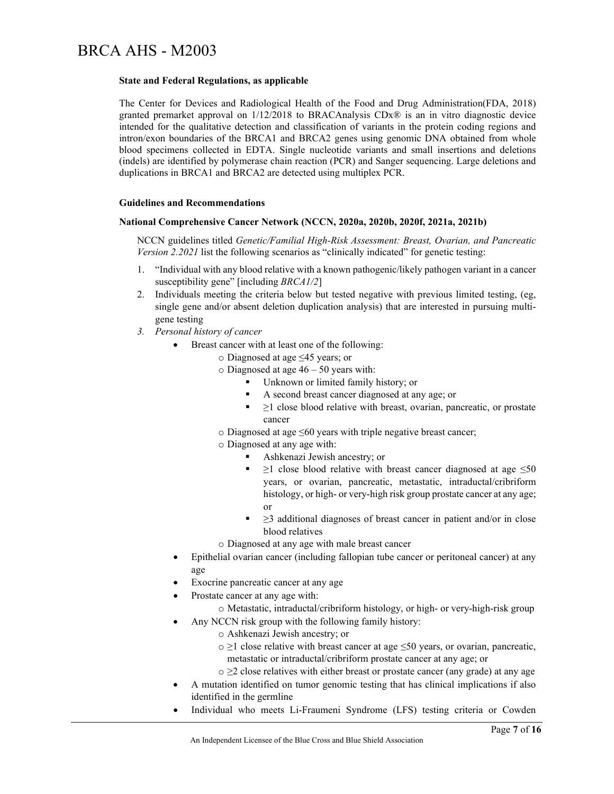#### **State and Federal Regulations, as applicable**

The Center for Devices and Radiological Health of the Food and Drug Administration(FDA, 2018) granted premarket approval on 1/12/2018 to BRACAnalysis CDx® is an in vitro diagnostic device intended for the qualitative detection and classification of variants in the protein coding regions and intron/exon boundaries of the BRCA1 and BRCA2 genes using genomic DNA obtained from whole blood specimens collected in EDTA. Single nucleotide variants and small insertions and deletions (indels) are identified by polymerase chain reaction (PCR) and Sanger sequencing. Large deletions and duplications in BRCA1 and BRCA2 are detected using multiplex PCR.

#### **Guidelines and Recommendations**

#### **National Comprehensive Cancer Network (NCCN, 2020a, 2020b, 2020f, 2021a, 2021b)**

NCCN guidelines titled *Genetic/Familial High-Risk Assessment: Breast, Ovarian, and Pancreatic Version 2.2021* list the following scenarios as "clinically indicated" for genetic testing:

- 1. "Individual with any blood relative with a known pathogenic/likely pathogen variant in a cancer susceptibility gene" [including *BRCA1/2*]
- 2. Individuals meeting the criteria below but tested negative with previous limited testing, (eg, single gene and/or absent deletion duplication analysis) that are interested in pursuing multigene testing
- *3. Personal history of cancer* 
	- Breast cancer with at least one of the following:
		- o Diagnosed at age ≤45 years; or
			- $\circ$  Diagnosed at age 46 50 years with:
				- Unknown or limited family history; or
				- A second breast cancer diagnosed at any age; or
				- $\blacksquare$   $\geq$ 1 close blood relative with breast, ovarian, pancreatic, or prostate cancer
			- o Diagnosed at age ≤60 years with triple negative breast cancer;
			- o Diagnosed at any age with:
				- Ashkenazi Jewish ancestry; or
				- $\geq$ 1 close blood relative with breast cancer diagnosed at age  $\leq$ 50 years, or ovarian, pancreatic, metastatic, intraductal/cribriform histology, or high- or very-high risk group prostate cancer at any age; or
				- $\geq$ 3 additional diagnoses of breast cancer in patient and/or in close blood relatives
		- o Diagnosed at any age with male breast cancer
	- Epithelial ovarian cancer (including fallopian tube cancer or peritoneal cancer) at any age
	- Exocrine pancreatic cancer at any age
	- Prostate cancer at any age with:
		- o Metastatic, intraductal/cribriform histology, or high- or very-high-risk group
	- Any NCCN risk group with the following family history:
		- o Ashkenazi Jewish ancestry; or
		- o ≥1 close relative with breast cancer at age ≤50 years, or ovarian, pancreatic, metastatic or intraductal/cribriform prostate cancer at any age; or
		- $\circ \geq 2$  close relatives with either breast or prostate cancer (any grade) at any age
	- A mutation identified on tumor genomic testing that has clinical implications if also identified in the germline
	- Individual who meets Li-Fraumeni Syndrome (LFS) testing criteria or Cowden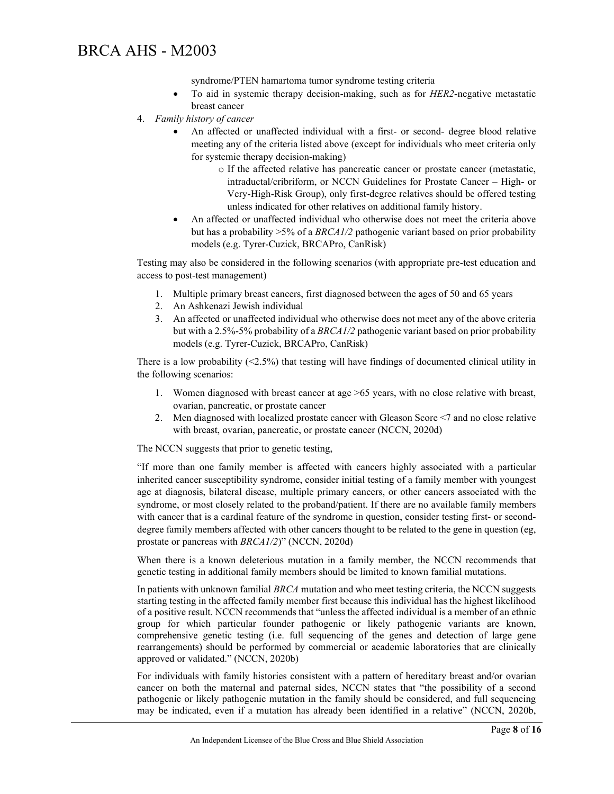- syndrome/PTEN hamartoma tumor syndrome testing criteria
- To aid in systemic therapy decision-making, such as for *HER2*-negative metastatic breast cancer
- 4. *Family history of cancer*
	- An affected or unaffected individual with a first- or second- degree blood relative meeting any of the criteria listed above (except for individuals who meet criteria only for systemic therapy decision-making)
		- o If the affected relative has pancreatic cancer or prostate cancer (metastatic, intraductal/cribriform, or NCCN Guidelines for Prostate Cancer – High- or Very-High-Risk Group), only first-degree relatives should be offered testing unless indicated for other relatives on additional family history.
	- An affected or unaffected individual who otherwise does not meet the criteria above but has a probability >5% of a *BRCA1/2* pathogenic variant based on prior probability models (e.g. Tyrer-Cuzick, BRCAPro, CanRisk)

Testing may also be considered in the following scenarios (with appropriate pre-test education and access to post-test management)

- 1. Multiple primary breast cancers, first diagnosed between the ages of 50 and 65 years
- 2. An Ashkenazi Jewish individual
- 3. An affected or unaffected individual who otherwise does not meet any of the above criteria but with a 2.5%-5% probability of a *BRCA1/2* pathogenic variant based on prior probability models (e.g. Tyrer-Cuzick, BRCAPro, CanRisk)

There is a low probability (<2.5%) that testing will have findings of documented clinical utility in the following scenarios:

- 1. Women diagnosed with breast cancer at age >65 years, with no close relative with breast, ovarian, pancreatic, or prostate cancer
- 2. Men diagnosed with localized prostate cancer with Gleason Score <7 and no close relative with breast, ovarian, pancreatic, or prostate cancer (NCCN, 2020d)

The NCCN suggests that prior to genetic testing,

"If more than one family member is affected with cancers highly associated with a particular inherited cancer susceptibility syndrome, consider initial testing of a family member with youngest age at diagnosis, bilateral disease, multiple primary cancers, or other cancers associated with the syndrome, or most closely related to the proband/patient. If there are no available family members with cancer that is a cardinal feature of the syndrome in question, consider testing first- or seconddegree family members affected with other cancers thought to be related to the gene in question (eg, prostate or pancreas with *BRCA1/2*)" (NCCN, 2020d)

When there is a known deleterious mutation in a family member, the NCCN recommends that genetic testing in additional family members should be limited to known familial mutations.

In patients with unknown familial *BRCA* mutation and who meet testing criteria, the NCCN suggests starting testing in the affected family member first because this individual has the highest likelihood of a positive result. NCCN recommends that "unless the affected individual is a member of an ethnic group for which particular founder pathogenic or likely pathogenic variants are known, comprehensive genetic testing (i.e. full sequencing of the genes and detection of large gene rearrangements) should be performed by commercial or academic laboratories that are clinically approved or validated." (NCCN, 2020b)

For individuals with family histories consistent with a pattern of hereditary breast and/or ovarian cancer on both the maternal and paternal sides, NCCN states that "the possibility of a second pathogenic or likely pathogenic mutation in the family should be considered, and full sequencing may be indicated, even if a mutation has already been identified in a relative" (NCCN, 2020b,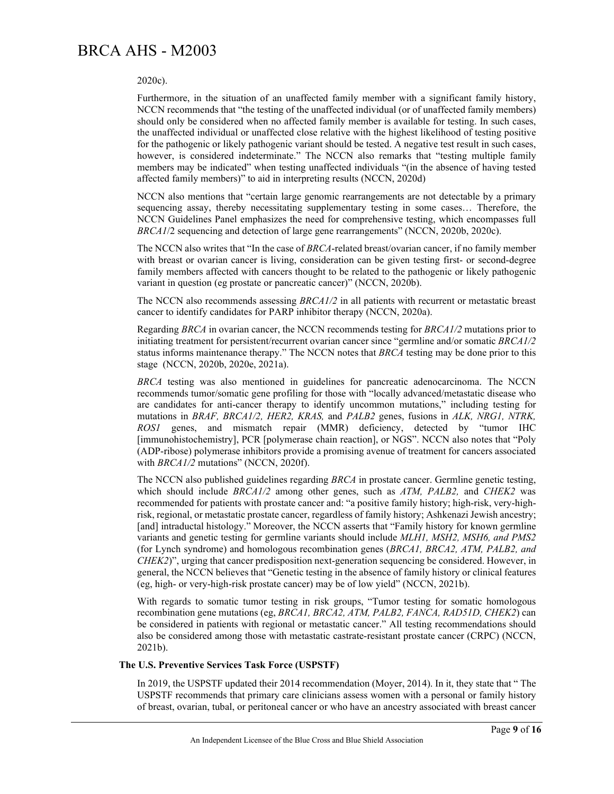#### 2020c).

Furthermore, in the situation of an unaffected family member with a significant family history, NCCN recommends that "the testing of the unaffected individual (or of unaffected family members) should only be considered when no affected family member is available for testing. In such cases, the unaffected individual or unaffected close relative with the highest likelihood of testing positive for the pathogenic or likely pathogenic variant should be tested. A negative test result in such cases, however, is considered indeterminate." The NCCN also remarks that "testing multiple family members may be indicated" when testing unaffected individuals "(in the absence of having tested affected family members)" to aid in interpreting results (NCCN, 2020d)

NCCN also mentions that "certain large genomic rearrangements are not detectable by a primary sequencing assay, thereby necessitating supplementary testing in some cases… Therefore, the NCCN Guidelines Panel emphasizes the need for comprehensive testing, which encompasses full *BRCA1*/2 sequencing and detection of large gene rearrangements" (NCCN, 2020b, 2020c).

The NCCN also writes that "In the case of *BRCA*-related breast/ovarian cancer, if no family member with breast or ovarian cancer is living, consideration can be given testing first- or second-degree family members affected with cancers thought to be related to the pathogenic or likely pathogenic variant in question (eg prostate or pancreatic cancer)" (NCCN, 2020b).

The NCCN also recommends assessing *BRCA1/2* in all patients with recurrent or metastatic breast cancer to identify candidates for PARP inhibitor therapy (NCCN, 2020a).

Regarding *BRCA* in ovarian cancer, the NCCN recommends testing for *BRCA1/2* mutations prior to initiating treatment for persistent/recurrent ovarian cancer since "germline and/or somatic *BRCA1/2* status informs maintenance therapy." The NCCN notes that *BRCA* testing may be done prior to this stage (NCCN, 2020b, 2020e, 2021a).

*BRCA* testing was also mentioned in guidelines for pancreatic adenocarcinoma. The NCCN recommends tumor/somatic gene profiling for those with "locally advanced/metastatic disease who are candidates for anti-cancer therapy to identify uncommon mutations," including testing for mutations in *BRAF, BRCA1/2, HER2, KRAS,* and *PALB2* genes, fusions in *ALK, NRG1, NTRK, ROS1* genes, and mismatch repair (MMR) deficiency, detected by "tumor IHC [immunohistochemistry], PCR [polymerase chain reaction], or NGS". NCCN also notes that "Poly (ADP-ribose) polymerase inhibitors provide a promising avenue of treatment for cancers associated with *BRCA1/2* mutations" (NCCN, 2020f).

The NCCN also published guidelines regarding *BRCA* in prostate cancer. Germline genetic testing, which should include *BRCA1/2* among other genes, such as *ATM, PALB2,* and *CHEK2* was recommended for patients with prostate cancer and: "a positive family history; high-risk, very-highrisk, regional, or metastatic prostate cancer, regardless of family history; Ashkenazi Jewish ancestry; [and] intraductal histology." Moreover, the NCCN asserts that "Family history for known germline variants and genetic testing for germline variants should include *MLH1, MSH2, MSH6, and PMS2*  (for Lynch syndrome) and homologous recombination genes (*BRCA1, BRCA2, ATM, PALB2, and CHEK2*)", urging that cancer predisposition next-generation sequencing be considered. However, in general, the NCCN believes that "Genetic testing in the absence of family history or clinical features (eg, high- or very-high-risk prostate cancer) may be of low yield" (NCCN, 2021b).

With regards to somatic tumor testing in risk groups, "Tumor testing for somatic homologous recombination gene mutations (eg, *BRCA1, BRCA2, ATM, PALB2, FANCA, RAD51D, CHEK2*) can be considered in patients with regional or metastatic cancer." All testing recommendations should also be considered among those with metastatic castrate-resistant prostate cancer (CRPC) (NCCN, 2021b).

#### **The U.S. Preventive Services Task Force (USPSTF)**

In 2019, the USPSTF updated their 2014 recommendation (Moyer, 2014). In it, they state that " The USPSTF recommends that primary care clinicians assess women with a personal or family history of breast, ovarian, tubal, or peritoneal cancer or who have an ancestry associated with breast cancer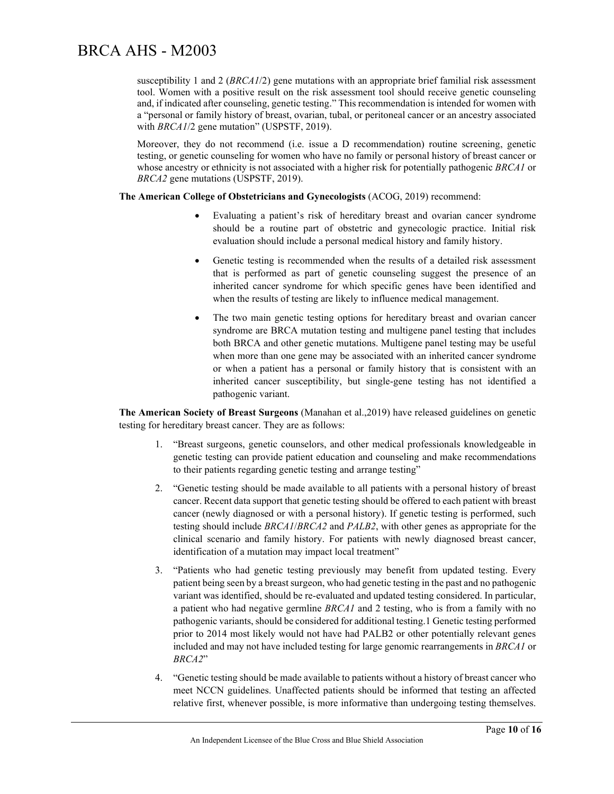susceptibility 1 and 2 (*BRCA1*/2) gene mutations with an appropriate brief familial risk assessment tool. Women with a positive result on the risk assessment tool should receive genetic counseling and, if indicated after counseling, genetic testing." This recommendation is intended for women with a "personal or family history of breast, ovarian, tubal, or peritoneal cancer or an ancestry associated with *BRCA1*/2 gene mutation" (USPSTF, 2019).

Moreover, they do not recommend (i.e. issue a D recommendation) routine screening, genetic testing, or genetic counseling for women who have no family or personal history of breast cancer or whose ancestry or ethnicity is not associated with a higher risk for potentially pathogenic *BRCA1* or *BRCA2* gene mutations (USPSTF, 2019).

#### **The American College of Obstetricians and Gynecologists** (ACOG, 2019) recommend:

- Evaluating a patient's risk of hereditary breast and ovarian cancer syndrome should be a routine part of obstetric and gynecologic practice. Initial risk evaluation should include a personal medical history and family history.
- Genetic testing is recommended when the results of a detailed risk assessment that is performed as part of genetic counseling suggest the presence of an inherited cancer syndrome for which specific genes have been identified and when the results of testing are likely to influence medical management.
- The two main genetic testing options for hereditary breast and ovarian cancer syndrome are BRCA mutation testing and multigene panel testing that includes both BRCA and other genetic mutations. Multigene panel testing may be useful when more than one gene may be associated with an inherited cancer syndrome or when a patient has a personal or family history that is consistent with an inherited cancer susceptibility, but single-gene testing has not identified a pathogenic variant.

**The American Society of Breast Surgeons** (Manahan et al.,2019) have released guidelines on genetic testing for hereditary breast cancer. They are as follows:

- 1. "Breast surgeons, genetic counselors, and other medical professionals knowledgeable in genetic testing can provide patient education and counseling and make recommendations to their patients regarding genetic testing and arrange testing"
- 2. "Genetic testing should be made available to all patients with a personal history of breast cancer. Recent data support that genetic testing should be offered to each patient with breast cancer (newly diagnosed or with a personal history). If genetic testing is performed, such testing should include *BRCA1*/*BRCA2* and *PALB2*, with other genes as appropriate for the clinical scenario and family history. For patients with newly diagnosed breast cancer, identification of a mutation may impact local treatment"
- 3. "Patients who had genetic testing previously may benefit from updated testing. Every patient being seen by a breast surgeon, who had genetic testing in the past and no pathogenic variant was identified, should be re-evaluated and updated testing considered. In particular, a patient who had negative germline *BRCA1* and 2 testing, who is from a family with no pathogenic variants, should be considered for additional testing.1 Genetic testing performed prior to 2014 most likely would not have had PALB2 or other potentially relevant genes included and may not have included testing for large genomic rearrangements in *BRCA1* or *BRCA2*"
- 4. "Genetic testing should be made available to patients without a history of breast cancer who meet NCCN guidelines. Unaffected patients should be informed that testing an affected relative first, whenever possible, is more informative than undergoing testing themselves.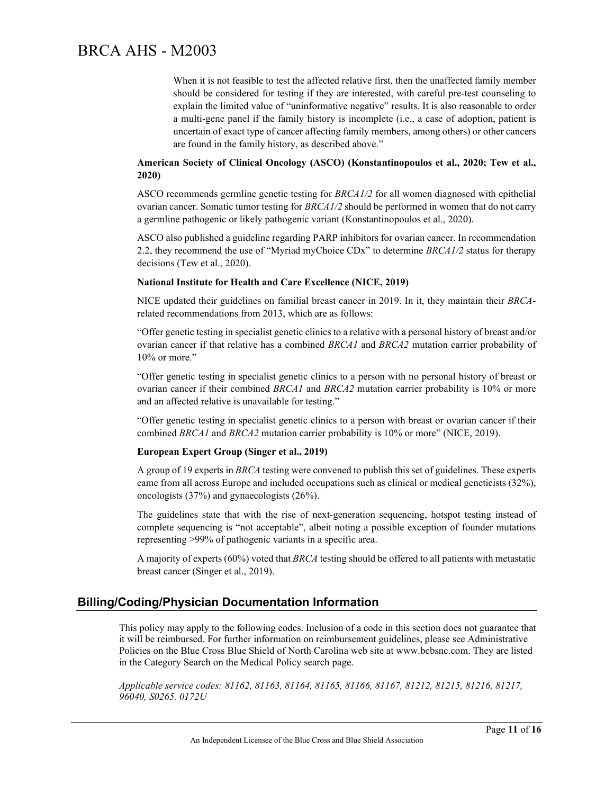When it is not feasible to test the affected relative first, then the unaffected family member should be considered for testing if they are interested, with careful pre-test counseling to explain the limited value of "uninformative negative" results. It is also reasonable to order a multi-gene panel if the family history is incomplete (i.e., a case of adoption, patient is uncertain of exact type of cancer affecting family members, among others) or other cancers are found in the family history, as described above."

#### **American Society of Clinical Oncology (ASCO) (Konstantinopoulos et al., 2020; Tew et al., 2020)**

ASCO recommends germline genetic testing for *BRCA1/2* for all women diagnosed with epithelial ovarian cancer. Somatic tumor testing for *BRCA1/2* should be performed in women that do not carry a germline pathogenic or likely pathogenic variant (Konstantinopoulos et al., 2020).

ASCO also published a guideline regarding PARP inhibitors for ovarian cancer. In recommendation 2.2, they recommend the use of "Myriad myChoice CDx" to determine *BRCA1/2* status for therapy decisions (Tew et al., 2020).

#### **National Institute for Health and Care Excellence (NICE, 2019)**

NICE updated their guidelines on familial breast cancer in 2019. In it, they maintain their *BRCA*related recommendations from 2013, which are as follows:

"Offer genetic testing in specialist genetic clinics to a relative with a personal history of breast and/or ovarian cancer if that relative has a combined *BRCA1* and *BRCA2* mutation carrier probability of 10% or more."

"Offer genetic testing in specialist genetic clinics to a person with no personal history of breast or ovarian cancer if their combined *BRCA1* and *BRCA2* mutation carrier probability is 10% or more and an affected relative is unavailable for testing."

"Offer genetic testing in specialist genetic clinics to a person with breast or ovarian cancer if their combined *BRCA1* and *BRCA2* mutation carrier probability is 10% or more" (NICE, 2019).

#### **European Expert Group (Singer et al., 2019)**

A group of 19 experts in *BRCA* testing were convened to publish this set of guidelines. These experts came from all across Europe and included occupations such as clinical or medical geneticists (32%), oncologists (37%) and gynaecologists (26%).

The guidelines state that with the rise of next-generation sequencing, hotspot testing instead of complete sequencing is "not acceptable", albeit noting a possible exception of founder mutations representing >99% of pathogenic variants in a specific area.

A majority of experts (60%) voted that *BRCA* testing should be offered to all patients with metastatic breast cancer (Singer et al., 2019).

#### **Billing/Coding/Physician Documentation Information**

This policy may apply to the following codes. Inclusion of a code in this section does not guarantee that it will be reimbursed. For further information on reimbursement guidelines, please see Administrative Policies on the Blue Cross Blue Shield of North Carolina web site at www.bcbsnc.com. They are listed in the Category Search on the Medical Policy search page.

*Applicable service codes: 81162, 81163, 81164, 81165, 81166, 81167, 81212, 81215, 81216, 81217, 96040, S0265. 0172U*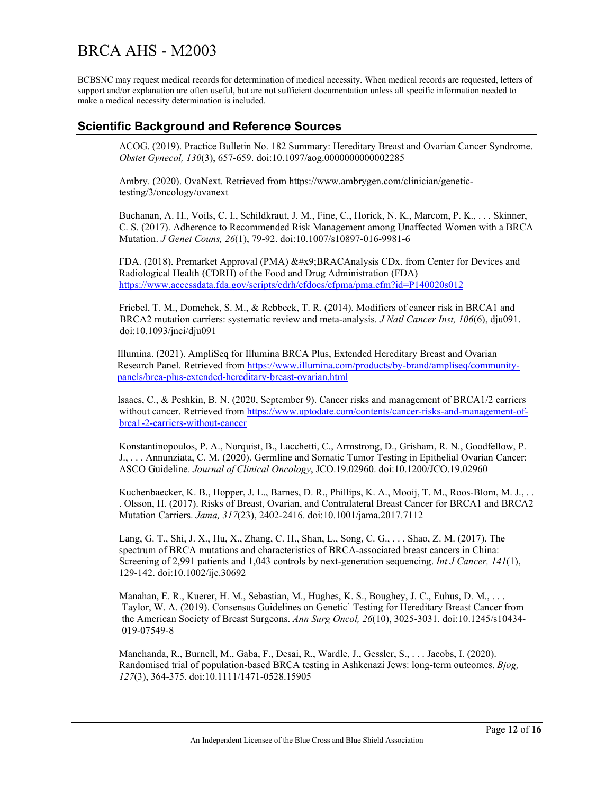BCBSNC may request medical records for determination of medical necessity. When medical records are requested, letters of support and/or explanation are often useful, but are not sufficient documentation unless all specific information needed to make a medical necessity determination is included.

### **Scientific Background and Reference Sources**

ACOG. (2019). Practice Bulletin No. 182 Summary: Hereditary Breast and Ovarian Cancer Syndrome. *Obstet Gynecol, 130*(3), 657-659. doi:10.1097/aog.0000000000002285

Ambry. (2020). OvaNext. Retrieved from https://www.ambrygen.com/clinician/genetictesting/3/oncology/ovanext

Buchanan, A. H., Voils, C. I., Schildkraut, J. M., Fine, C., Horick, N. K., Marcom, P. K., . . . Skinner, C. S. (2017). Adherence to Recommended Risk Management among Unaffected Women with a BRCA Mutation. *J Genet Couns, 26*(1), 79-92. doi:10.1007/s10897-016-9981-6

FDA. (2018). Premarket Approval (PMA)  $&\#x9$ ;BRACAnalysis CDx. from Center for Devices and Radiological Health (CDRH) of the Food and Drug Administration (FDA) <https://www.accessdata.fda.gov/scripts/cdrh/cfdocs/cfpma/pma.cfm?id=P140020s012>

Friebel, T. M., Domchek, S. M., & Rebbeck, T. R. (2014). Modifiers of cancer risk in BRCA1 and BRCA2 mutation carriers: systematic review and meta-analysis. *J Natl Cancer Inst, 106*(6), dju091. doi:10.1093/jnci/dju091

Illumina. (2021). AmpliSeq for Illumina BRCA Plus, Extended Hereditary Breast and Ovarian Research Panel. Retrieved fro[m https://www.illumina.com/products/by-brand/ampliseq/community](https://www.illumina.com/products/by-brand/ampliseq/community-panels/brca-plus-extended-hereditary-breast-ovarian.html)[panels/brca-plus-extended-hereditary-breast-ovarian.html](https://www.illumina.com/products/by-brand/ampliseq/community-panels/brca-plus-extended-hereditary-breast-ovarian.html)

Isaacs, C., & Peshkin, B. N. (2020, September 9). Cancer risks and management of BRCA1/2 carriers without cancer. Retrieved from [https://www.uptodate.com/contents/cancer-risks-and-management-of](https://www.uptodate.com/contents/cancer-risks-and-management-of-brca1-2-carriers-without-cancer)[brca1-2-carriers-without-cancer](https://www.uptodate.com/contents/cancer-risks-and-management-of-brca1-2-carriers-without-cancer)

Konstantinopoulos, P. A., Norquist, B., Lacchetti, C., Armstrong, D., Grisham, R. N., Goodfellow, P. J., . . . Annunziata, C. M. (2020). Germline and Somatic Tumor Testing in Epithelial Ovarian Cancer: ASCO Guideline. *Journal of Clinical Oncology*, JCO.19.02960. doi:10.1200/JCO.19.02960

Kuchenbaecker, K. B., Hopper, J. L., Barnes, D. R., Phillips, K. A., Mooij, T. M., Roos-Blom, M. J., . . . Olsson, H. (2017). Risks of Breast, Ovarian, and Contralateral Breast Cancer for BRCA1 and BRCA2 Mutation Carriers. *Jama, 317*(23), 2402-2416. doi:10.1001/jama.2017.7112

Lang, G. T., Shi, J. X., Hu, X., Zhang, C. H., Shan, L., Song, C. G., . . . Shao, Z. M. (2017). The spectrum of BRCA mutations and characteristics of BRCA-associated breast cancers in China: Screening of 2,991 patients and 1,043 controls by next-generation sequencing. *Int J Cancer, 141*(1), 129-142. doi:10.1002/ijc.30692

Manahan, E. R., Kuerer, H. M., Sebastian, M., Hughes, K. S., Boughey, J. C., Euhus, D. M., . . . Taylor, W. A. (2019). Consensus Guidelines on Genetic` Testing for Hereditary Breast Cancer from the American Society of Breast Surgeons. *Ann Surg Oncol, 26*(10), 3025-3031. doi:10.1245/s10434- 019-07549-8

Manchanda, R., Burnell, M., Gaba, F., Desai, R., Wardle, J., Gessler, S., . . . Jacobs, I. (2020). Randomised trial of population-based BRCA testing in Ashkenazi Jews: long-term outcomes. *Bjog, 127*(3), 364-375. doi:10.1111/1471-0528.15905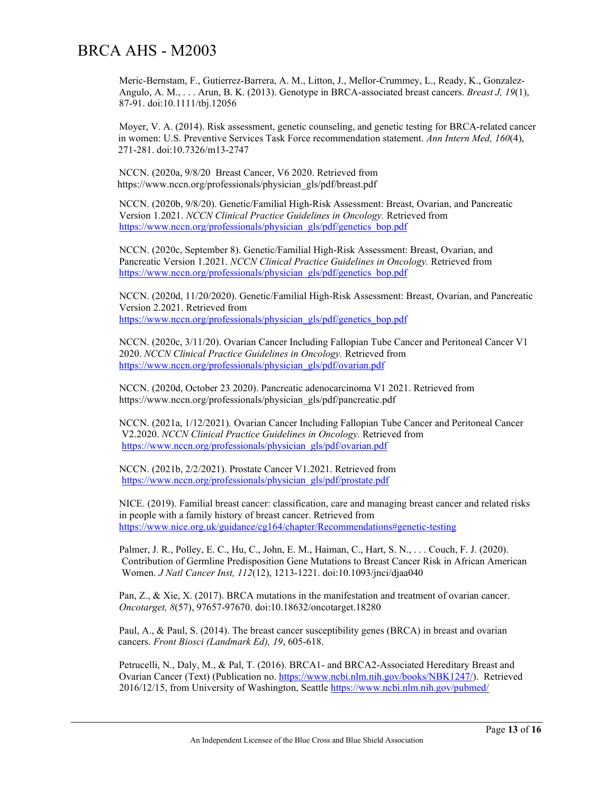Meric-Bernstam, F., Gutierrez-Barrera, A. M., Litton, J., Mellor-Crummey, L., Ready, K., Gonzalez-Angulo, A. M., . . . Arun, B. K. (2013). Genotype in BRCA-associated breast cancers. *Breast J, 19*(1), 87-91. doi:10.1111/tbj.12056

Moyer, V. A. (2014). Risk assessment, genetic counseling, and genetic testing for BRCA-related cancer in women: U.S. Preventive Services Task Force recommendation statement. *Ann Intern Med, 160*(4), 271-281. doi:10.7326/m13-2747

NCCN. (2020a, 9/8/20 Breast Cancer, V6 2020. Retrieved from https://www.nccn.org/professionals/physician\_gls/pdf/breast.pdf

NCCN. (2020b, 9/8/20). Genetic/Familial High-Risk Assessment: Breast, Ovarian, and Pancreatic Version 1.2021. *NCCN Clinical Practice Guidelines in Oncology.* Retrieved from [https://www.nccn.org/professionals/physician\\_gls/pdf/genetics\\_bop.pdf](https://www.nccn.org/professionals/physician_gls/pdf/genetics_bop.pdf)

NCCN. (2020c, September 8). Genetic/Familial High-Risk Assessment: Breast, Ovarian, and Pancreatic Version 1.2021. *NCCN Clinical Practice Guidelines in Oncology.* Retrieved from [https://www.nccn.org/professionals/physician\\_gls/pdf/genetics\\_bop.pdf](https://www.nccn.org/professionals/physician_gls/pdf/genetics_bop.pdf)

NCCN. (2020d, 11/20/2020). Genetic/Familial High-Risk Assessment: Breast, Ovarian, and Pancreatic Version 2.2021. Retrieved from [https://www.nccn.org/professionals/physician\\_gls/pdf/genetics\\_bop.pdf](https://www.nccn.org/professionals/physician_gls/pdf/genetics_bop.pdf)

NCCN. (2020c, 3/11/20). Ovarian Cancer Including Fallopian Tube Cancer and Peritoneal Cancer V1 2020. *NCCN Clinical Practice Guidelines in Oncology.* Retrieved from [https://www.nccn.org/professionals/physician\\_gls/pdf/ovarian.pdf](https://www.nccn.org/professionals/physician_gls/pdf/ovarian.pdf)

NCCN. (2020d, October 23 2020). Pancreatic adenocarcinoma V1 2021. Retrieved from https://www.nccn.org/professionals/physician\_gls/pdf/pancreatic.pdf

NCCN. (2021a, 1/12/2021). Ovarian Cancer Including Fallopian Tube Cancer and Peritoneal Cancer V2.2020. *NCCN Clinical Practice Guidelines in Oncology.* Retrieved from [https://www.nccn.org/professionals/physician\\_gls/pdf/ovarian.pdf](https://www.nccn.org/professionals/physician_gls/pdf/ovarian.pdf)

NCCN. (2021b, 2/2/2021). Prostate Cancer V1.2021. Retrieved from [https://www.nccn.org/professionals/physician\\_gls/pdf/prostate.pdf](https://www.nccn.org/professionals/physician_gls/pdf/prostate.pdf)

NICE. (2019). Familial breast cancer: classification, care and managing breast cancer and related risks in people with a family history of breast cancer. Retrieved from <https://www.nice.org.uk/guidance/cg164/chapter/Recommendations#genetic-testing>

Palmer, J. R., Polley, E. C., Hu, C., John, E. M., Haiman, C., Hart, S. N., . . . Couch, F. J. (2020). Contribution of Germline Predisposition Gene Mutations to Breast Cancer Risk in African American Women. *J Natl Cancer Inst, 112*(12), 1213-1221. doi:10.1093/jnci/djaa040

Pan, Z., & Xie, X. (2017). BRCA mutations in the manifestation and treatment of ovarian cancer. *Oncotarget, 8*(57), 97657-97670. doi:10.18632/oncotarget.18280

Paul, A., & Paul, S. (2014). The breast cancer susceptibility genes (BRCA) in breast and ovarian cancers. *Front Biosci (Landmark Ed), 19*, 605-618.

Petrucelli, N., Daly, M., & Pal, T. (2016). BRCA1- and BRCA2-Associated Hereditary Breast and Ovarian Cancer (Text) (Publication no. [https://www.ncbi.nlm.nih.gov/books/NBK1247/\)](https://www.ncbi.nlm.nih.gov/books/NBK1247/). Retrieved 2016/12/15, from University of Washington, Seattle<https://www.ncbi.nlm.nih.gov/pubmed/>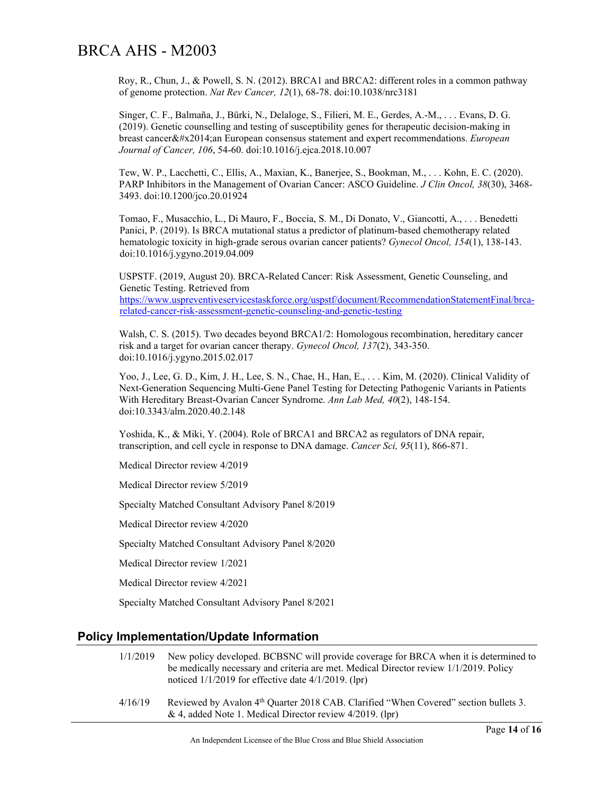Roy, R., Chun, J., & Powell, S. N. (2012). BRCA1 and BRCA2: different roles in a common pathway of genome protection. *Nat Rev Cancer, 12*(1), 68-78. doi:10.1038/nrc3181

Singer, C. F., Balmaña, J., Bürki, N., Delaloge, S., Filieri, M. E., Gerdes, A.-M., . . . Evans, D. G. (2019). Genetic counselling and testing of susceptibility genes for therapeutic decision-making in breast cancer—an European consensus statement and expert recommendations. *European Journal of Cancer, 106*, 54-60. doi:10.1016/j.ejca.2018.10.007

Tew, W. P., Lacchetti, C., Ellis, A., Maxian, K., Banerjee, S., Bookman, M., . . . Kohn, E. C. (2020). PARP Inhibitors in the Management of Ovarian Cancer: ASCO Guideline. *J Clin Oncol, 38*(30), 3468- 3493. doi:10.1200/jco.20.01924

Tomao, F., Musacchio, L., Di Mauro, F., Boccia, S. M., Di Donato, V., Giancotti, A., . . . Benedetti Panici, P. (2019). Is BRCA mutational status a predictor of platinum-based chemotherapy related hematologic toxicity in high-grade serous ovarian cancer patients? *Gynecol Oncol, 154*(1), 138-143. doi:10.1016/j.ygyno.2019.04.009

USPSTF. (2019, August 20). BRCA-Related Cancer: Risk Assessment, Genetic Counseling, and Genetic Testing. Retrieved from [https://www.uspreventiveservicestaskforce.org/uspstf/document/RecommendationStatementFinal/brca](https://www.uspreventiveservicestaskforce.org/uspstf/document/RecommendationStatementFinal/brca-related-cancer-risk-assessment-genetic-counseling-and-genetic-testing)[related-cancer-risk-assessment-genetic-counseling-and-genetic-testing](https://www.uspreventiveservicestaskforce.org/uspstf/document/RecommendationStatementFinal/brca-related-cancer-risk-assessment-genetic-counseling-and-genetic-testing)

Walsh, C. S. (2015). Two decades beyond BRCA1/2: Homologous recombination, hereditary cancer risk and a target for ovarian cancer therapy. *Gynecol Oncol, 137*(2), 343-350. doi:10.1016/j.ygyno.2015.02.017

Yoo, J., Lee, G. D., Kim, J. H., Lee, S. N., Chae, H., Han, E., . . . Kim, M. (2020). Clinical Validity of Next-Generation Sequencing Multi-Gene Panel Testing for Detecting Pathogenic Variants in Patients With Hereditary Breast-Ovarian Cancer Syndrome. *Ann Lab Med, 40*(2), 148-154. doi:10.3343/alm.2020.40.2.148

Yoshida, K., & Miki, Y. (2004). Role of BRCA1 and BRCA2 as regulators of DNA repair, transcription, and cell cycle in response to DNA damage. *Cancer Sci, 95*(11), 866-871.

Medical Director review 4/2019

Medical Director review 5/2019

Specialty Matched Consultant Advisory Panel 8/2019

Medical Director review 4/2020

Specialty Matched Consultant Advisory Panel 8/2020

Medical Director review 1/2021

Medical Director review 4/2021

Specialty Matched Consultant Advisory Panel 8/2021

#### **Policy Implementation/Update Information**

|         | 1/1/2019 New policy developed. BCBSNC will provide coverage for BRCA when it is determined to<br>be medically necessary and criteria are met. Medical Director review $1/1/2019$ . Policy<br>noticed $1/1/2019$ for effective date $4/1/2019$ . (lpr)                                                                              |
|---------|------------------------------------------------------------------------------------------------------------------------------------------------------------------------------------------------------------------------------------------------------------------------------------------------------------------------------------|
| 4/17/10 | $\mathbf{D}$ $\mathbf{A}$ $\mathbf{A}$ $\mathbf{A}$ $\mathbf{A}$ $\mathbf{A}$ $\mathbf{A}$ $\mathbf{A}$ $\mathbf{A}$ $\mathbf{A}$ $\mathbf{A}$ $\mathbf{A}$ $\mathbf{A}$ $\mathbf{A}$ $\mathbf{A}$ $\mathbf{A}$ $\mathbf{A}$ $\mathbf{A}$ $\mathbf{A}$ $\mathbf{A}$ $\mathbf{A}$ $\mathbf{A}$ $\mathbf{A}$ $\mathbf{A}$ $\mathbf{$ |

 $4/16/19$  Reviewed by Avalon  $4<sup>th</sup>$  Quarter 2018 CAB. Clarified "When Covered" section bullets 3. & 4, added Note 1. Medical Director review 4/2019. (lpr)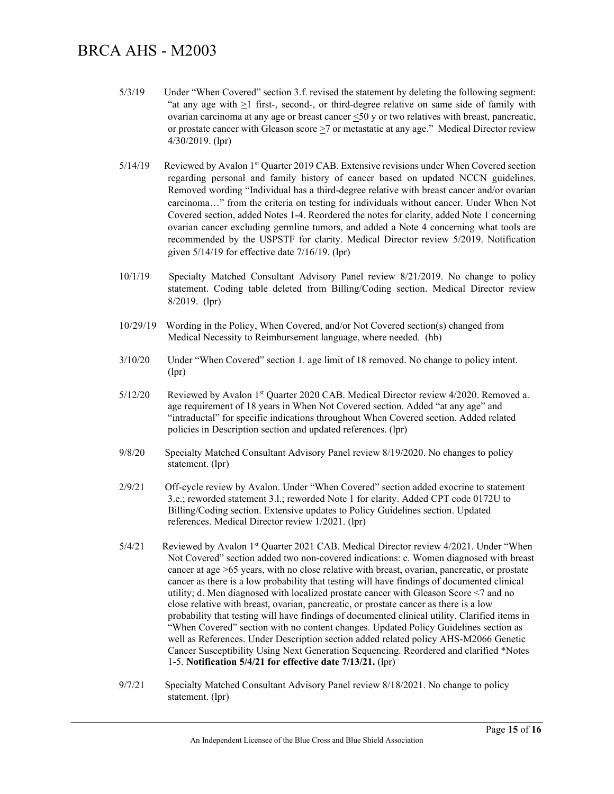- 5/3/19 Under "When Covered" section 3.f. revised the statement by deleting the following segment: "at any age with  $\geq 1$  first-, second-, or third-degree relative on same side of family with ovarian carcinoma at any age or breast cancer <50 y or two relatives with breast, pancreatic, or prostate cancer with Gleason score >7 or metastatic at any age." Medical Director review 4/30/2019. (lpr)
- 5/14/19 Reviewed by Avalon 1<sup>st</sup> Quarter 2019 CAB. Extensive revisions under When Covered section regarding personal and family history of cancer based on updated NCCN guidelines. Removed wording "Individual has a third-degree relative with breast cancer and/or ovarian carcinoma…" from the criteria on testing for individuals without cancer. Under When Not Covered section, added Notes 1-4. Reordered the notes for clarity, added Note 1 concerning ovarian cancer excluding germline tumors, and added a Note 4 concerning what tools are recommended by the USPSTF for clarity. Medical Director review 5/2019. Notification given 5/14/19 for effective date 7/16/19. (lpr)
- 10/1/19 Specialty Matched Consultant Advisory Panel review 8/21/2019. No change to policy statement. Coding table deleted from Billing/Coding section. Medical Director review 8/2019. (lpr)
- 10/29/19 Wording in the Policy, When Covered, and/or Not Covered section(s) changed from Medical Necessity to Reimbursement language, where needed. (hb)
- 3/10/20 Under "When Covered" section 1. age limit of 18 removed. No change to policy intent. (lpr)
- 5/12/20 Reviewed by Avalon 1st Quarter 2020 CAB. Medical Director review 4/2020. Removed a. age requirement of 18 years in When Not Covered section. Added "at any age" and "intraductal" for specific indications throughout When Covered section. Added related policies in Description section and updated references. (lpr)
- 9/8/20 Specialty Matched Consultant Advisory Panel review 8/19/2020. No changes to policy statement. (lpr)
- 2/9/21 Off-cycle review by Avalon. Under "When Covered" section added exocrine to statement 3.e.; reworded statement 3.l.; reworded Note 1 for clarity. Added CPT code 0172U to Billing/Coding section. Extensive updates to Policy Guidelines section. Updated references. Medical Director review 1/2021. (lpr)
- 5/4/21 Reviewed by Avalon 1st Quarter 2021 CAB. Medical Director review 4/2021. Under "When Not Covered" section added two non-covered indications: c. Women diagnosed with breast cancer at age >65 years, with no close relative with breast, ovarian, pancreatic, or prostate cancer as there is a low probability that testing will have findings of documented clinical utility; d. Men diagnosed with localized prostate cancer with Gleason Score <7 and no close relative with breast, ovarian, pancreatic, or prostate cancer as there is a low probability that testing will have findings of documented clinical utility. Clarified items in "When Covered" section with no content changes. Updated Policy Guidelines section as well as References. Under Description section added related policy AHS-M2066 Genetic Cancer Susceptibility Using Next Generation Sequencing. Reordered and clarified \*Notes 1-5. **Notification 5/4/21 for effective date 7/13/21.** (lpr)
- 9/7/21 Specialty Matched Consultant Advisory Panel review 8/18/2021. No change to policy statement. (lpr)